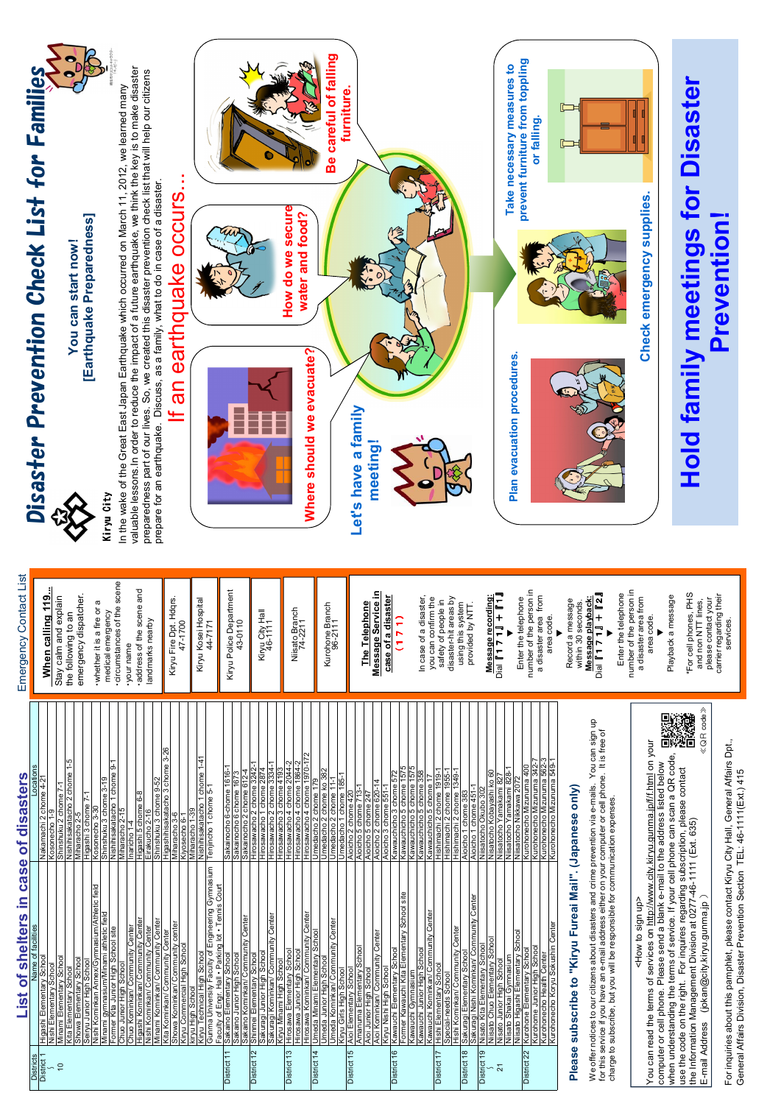For inquiries about this pamphlet, please contact Kiryu City Hall, General Affairs Dpt., For inquiries about this pamphlet, please contact Kiryu City Hall, General Affairs Dpt., General Affairs Division, Disaster Prevention Section TEL: 46-111(Ext.) 415 General Affairs Division, Disaster Prevention Section TEL: 46-1111(Ext.) 415

|                                  | case<br>Ξ.<br>of shelters<br>$\frac{1}{2}$                                 | disasters<br>bf                                          |
|----------------------------------|----------------------------------------------------------------------------|----------------------------------------------------------|
| <b>Districts</b>                 | Name of facilities                                                         | Locations                                                |
| District 1                       | Higashi Elementary School<br>Nishi Elementary School                       | Nakamachi 2 chome 4-21<br>တု<br>Kosonecho                |
| $\frac{1}{2}$                    | Minami Elementary School                                                   | Shinshuku 2 chome 7-1                                    |
|                                  | Kita Elementary School                                                     | $\frac{1}{2}$<br>Nishihisakatacho 2 chome                |
|                                  | Showa Elementary School                                                    | Miharacho 2-5                                            |
|                                  | Nishi Kominkan Annex/Gymnasium/Athletic field<br>Seiryu Junior High School | Higashi 3 chome 7-1<br>Kosonecho 3-30                    |
|                                  | Minami gymnasium/Minami athletic field                                     | $3 - 19$<br>Shinshuku 3 chome                            |
|                                  | Former Kita Junior High School site                                        | 5<br>Nishihisakatacho 1 chome                            |
|                                  | Chuo Junior High School                                                    | Miharacho 2-15                                           |
|                                  | Chuo Kominkan/ Community Center                                            | Inaricho 1-4                                             |
|                                  | Higashi Kominkan/ Community Center                                         | Higashi 5 chome 6-8                                      |
|                                  | Nishi Kominkan/ Community Center                                           | Eirakucho 2-16                                           |
|                                  | Minami Kominkan/ Community Center                                          | Shinshuku 3 chome 9-52                                   |
|                                  | Kita Kominkan/ Community Center                                            | 3-26<br>3 chome<br>Higashihisakatacho                    |
|                                  | Showa Kominkan/ Community center                                           | Miharacho 3-6<br>Kiyosecho 6-1                           |
|                                  | Kiryu Commercial High School<br>kiryu High School                          | -39<br>Miharacho                                         |
|                                  | Kiryu Technical High School                                                | Nishihisakatacho 1 chome 1-41                            |
|                                  | Gunma University Faculty of Engineering Gymnasium                          | Tenjincho 1 chome 5-1                                    |
| District                         | Faculty of Engr. Hall • Parking lot • Tennis Court                         |                                                          |
|                                  | Sakaino Elementary School<br>Sakaino Junior High School                    | Sakainocho 6-chome 1616-<br>Sakainocho 6 chome 1673      |
|                                  | Sakaino Kominkan/ Community Center                                         | Sakainocho 2 chome 612-4                                 |
| $\tilde{c}$<br><b>District</b>   | Shinmei Elementary School                                                  | Hirosawacho 2 chome 3242-1                               |
|                                  | Sakuragi Junior High Schoo                                                 | Hirosawacho 1 chome 2874                                 |
|                                  | Sakuragi Kominkan/ Community Center                                        | Hirosawacho 2 chome 3334-1                               |
|                                  | Kiryu Minami High School                                                   | Hirosawacho 3 chome 4193<br>Hirosawacho 4 chome 2044     |
| District 13                      | Hirosawa Elementary School                                                 | 2044-2                                                   |
|                                  | Hirosawa Junior High School                                                | Hirosawacho 4 chome 1864-2                               |
| $\frac{4}{3}$<br><b>District</b> | Hirosawa Kominkan/ Community Center<br>Umeda Minami Elementary School      | Hirosawacho 4 chome 1970-172                             |
|                                  | Umeda Junior High School                                                   | Umedacho 2 chome ko 382<br>Umedacho 2 chome 179          |
|                                  | Umeda Kominkan/ Community Center                                           | $1 - 1$<br>Umedacho 2 chome                              |
|                                  | Kiryu Girls High School                                                    | Umedacho 1 chome 185-1                                   |
| District 15                      | Aioi Elementary School                                                     | Aioicho 2 chome 420                                      |
|                                  | Amanuma Elementary School                                                  | 5 chome 713-1<br>Aioicho                                 |
|                                  | Aioi Junior High School                                                    | Aioicho 5 chome 247                                      |
|                                  | Aioi Kominkan/ Community Center                                            | Aioicho 2 chome 620-14                                   |
|                                  | Kiryu Nishi High School                                                    | Aioicho 3 chome 551-1                                    |
| District 16                      | Kawauchi Elementary School                                                 | Kawauchicho 3 chome 572                                  |
|                                  | Former Kawauchi Kita Elementary School site                                | 5<br>157<br>Kawauchicho 5 chome                          |
|                                  | Kawauchi Junior High School<br>Kawauchi Gymnasium                          | Kawauchicho 5 chome 1575<br>Kawauchicho 5 chome 358      |
|                                  | Kawauchi Kominkan/ Community Center                                        | Kawauchicho 5 chome                                      |
| 17<br>District                   | Hishi Elementary School                                                    | Hishimachi 2 chome 1919-1                                |
|                                  | Special-needs School                                                       | Hishimachi 2 chome 1955-1                                |
|                                  | Hishi Kominkan/ Community Center                                           | 1349-<br>Hishimachi 2 chome                              |
| $\frac{8}{1}$<br>District        | Sakuragi Elementary School                                                 | Aioicho 1 chome 383                                      |
| ၃<br>District                    | Sakuragi Nishi Kominkan/ Community Center<br>Nisato Kita Elementary School | Aioicho 1 chome 451-1<br>Niisatocho Okubo 302            |
|                                  | Niisato Chuo Elementary School                                             | Nisatocho Kobayashi ko 60                                |
| $\overline{\mathcal{N}}$         | Nisato Junior High School                                                  | Yamakami 827<br>Niisatocho                               |
|                                  | Niisato Shakai Gymnasium                                                   | Niisatocho Yamakami 828-1                                |
|                                  | Niisato Higashi Elementary School                                          | Niisatocho Nikkawa 2072                                  |
| District 22                      | School<br>Elementary<br>Kurohone                                           | $\overline{400}$<br>Kurohonecho Mizunuma                 |
|                                  | Kurohome Junior High School                                                | Kurohonecho Mizunuma 342-7                               |
|                                  | Kurohonecho Koryu Sokushin Center<br>Kurohonecho Health Center             | Kurohonecho Mizunuma 562-3<br>Kurohonecho Mizunuma 549-1 |
|                                  |                                                                            |                                                          |
|                                  |                                                                            |                                                          |

## Please subscribe to "Kiryu Fureai Mail". (Japanese only) Please subscribe to "Kiryu Fureai Mail". (Japanese only)

We offer notices to our citizens about disasters and crime prevention via e-mails. You can sign up<br>for this service if you have an e-mail address either on your computer or cell phone. It is free of<br>charge to subscribe, bu We offer notices to our citizens about disasters and crime prevention via e-mails. You can sign up for this service if you have an e-mail address either on your computer or cell phone. It is free of

charge to subscribe, but you will be responsible for communication expenses. <How to sign up>



You can read the terms of services on http://www.city.kiryu.gunma.jp/f/f.html on your when understanding the terms of service. If your cell phone can scan a QR code, computer or cell phone. Please send a blank e-mail to the address listed below<br>when understanding the terms of service. If your cell phone can scan a QR code, computer or cell phone. Please send a blank e-mail to the address listed below use the code on the right. For inquires regarding subscription, please contact the Information Management Division at 0277-46-1111 (Ext. 635) use the code on the right. For inquires regarding subscription<br>the Information Management Division at 0277-46-1111 (Ext. 6 You can read the terms of services on http://www.city.kiryu.gr E-mail Address (jokan@city.kiryu.gunma.jp) <How to sign up>